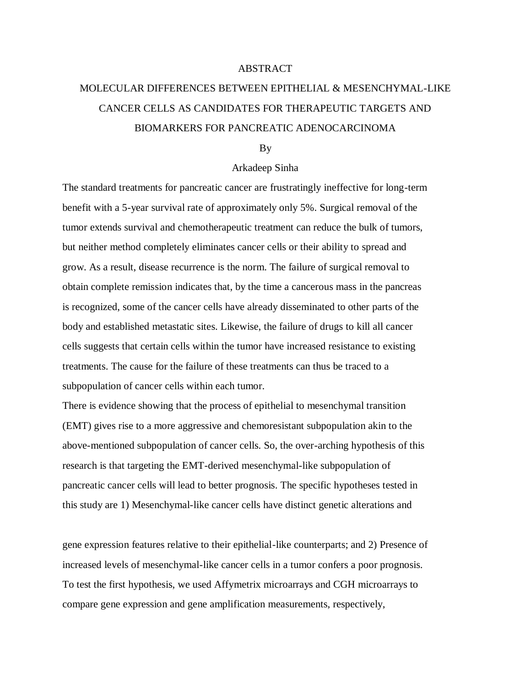## ABSTRACT

## MOLECULAR DIFFERENCES BETWEEN EPITHELIAL & MESENCHYMAL-LIKE CANCER CELLS AS CANDIDATES FOR THERAPEUTIC TARGETS AND BIOMARKERS FOR PANCREATIC ADENOCARCINOMA

## By

## Arkadeep Sinha

The standard treatments for pancreatic cancer are frustratingly ineffective for long-term benefit with a 5-year survival rate of approximately only 5%. Surgical removal of the tumor extends survival and chemotherapeutic treatment can reduce the bulk of tumors, but neither method completely eliminates cancer cells or their ability to spread and grow. As a result, disease recurrence is the norm. The failure of surgical removal to obtain complete remission indicates that, by the time a cancerous mass in the pancreas is recognized, some of the cancer cells have already disseminated to other parts of the body and established metastatic sites. Likewise, the failure of drugs to kill all cancer cells suggests that certain cells within the tumor have increased resistance to existing treatments. The cause for the failure of these treatments can thus be traced to a subpopulation of cancer cells within each tumor.

There is evidence showing that the process of epithelial to mesenchymal transition (EMT) gives rise to a more aggressive and chemoresistant subpopulation akin to the above-mentioned subpopulation of cancer cells. So, the over-arching hypothesis of this research is that targeting the EMT-derived mesenchymal-like subpopulation of pancreatic cancer cells will lead to better prognosis. The specific hypotheses tested in this study are 1) Mesenchymal-like cancer cells have distinct genetic alterations and

gene expression features relative to their epithelial-like counterparts; and 2) Presence of increased levels of mesenchymal-like cancer cells in a tumor confers a poor prognosis. To test the first hypothesis, we used Affymetrix microarrays and CGH microarrays to compare gene expression and gene amplification measurements, respectively,